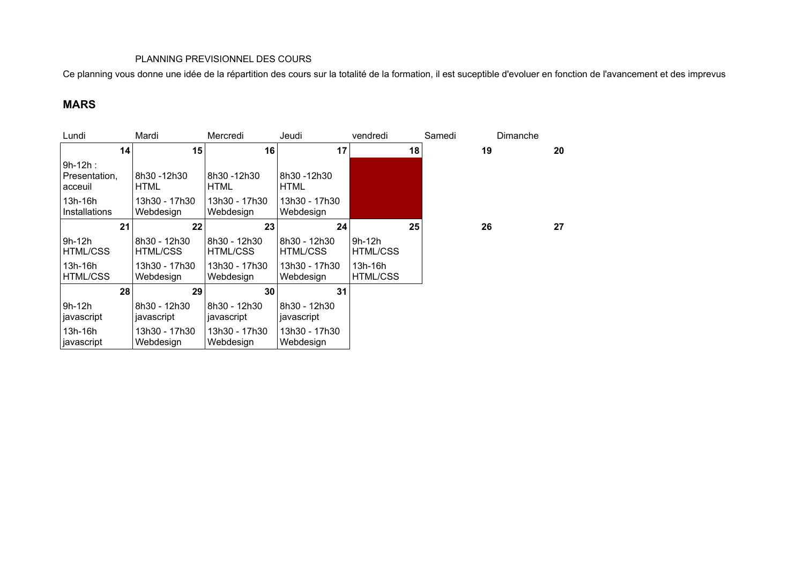## PLANNING PREVISIONNEL DES COURS

Ce planning vous donne une idée de la répartition des cours sur la totalité de la formation, il est suceptible d'evoluer en fonction de l'avancement et des imprevus

## **MARS**

| Lundi                                  | Mardi                           | Mercredi                        | Jeudi                           | vendredi                   | Samedi | Dimanche |    |
|----------------------------------------|---------------------------------|---------------------------------|---------------------------------|----------------------------|--------|----------|----|
| 14                                     | 15                              | 16                              | 17                              | 18                         | 19     |          | 20 |
| $9h-12h$ :<br>Presentation,<br>acceuil | 8h30 -12h30<br><b>HTML</b>      | 8h30 -12h30<br><b>HTML</b>      | 8h30 -12h30<br><b>HTML</b>      |                            |        |          |    |
| 13h-16h<br>Installations               | 13h30 - 17h30<br>Webdesign      | 13h30 - 17h30<br>Webdesign      | 13h30 - 17h30<br>Webdesign      |                            |        |          |    |
| 21                                     | 22                              | 23                              | 24                              | 25                         | 26     |          | 27 |
| 9h-12h<br><b>HTML/CSS</b>              | 8h30 - 12h30<br><b>HTML/CSS</b> | 8h30 - 12h30<br><b>HTML/CSS</b> | 8h30 - 12h30<br><b>HTML/CSS</b> | 9h-12h<br><b>HTML/CSS</b>  |        |          |    |
| $13h-16h$<br><b>HTML/CSS</b>           | 13h30 - 17h30<br>Webdesign      | 13h30 - 17h30<br>Webdesign      | 13h30 - 17h30<br>Webdesign      | 13h-16h<br><b>HTML/CSS</b> |        |          |    |
| 28                                     | 29                              | 30                              | 31                              |                            |        |          |    |
| $9h-12h$<br>javascript                 | 8h30 - 12h30<br>javascript      | 8h30 - 12h30<br>javascript      | 8h30 - 12h30<br>javascript      |                            |        |          |    |
| 13h-16h<br>javascript                  | 13h30 - 17h30<br>Webdesign      | 13h30 - 17h30<br>Webdesign      | 13h30 - 17h30<br>Webdesign      |                            |        |          |    |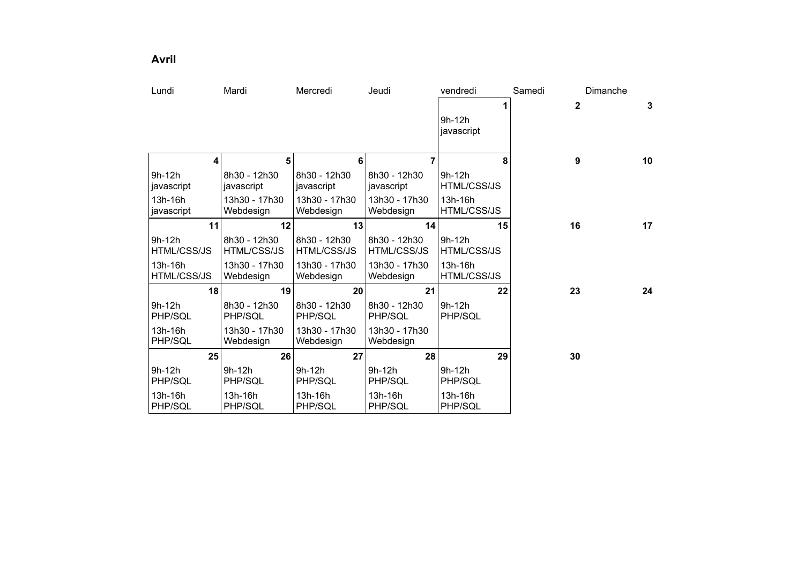**Avril**

| Lundi              | Mardi              | Mercredi           | Jeudi         | vendredi           | Samedi | Dimanche               |
|--------------------|--------------------|--------------------|---------------|--------------------|--------|------------------------|
|                    |                    |                    |               | 1                  |        | $\overline{2}$<br>3    |
|                    |                    |                    |               | 9h-12h             |        |                        |
|                    |                    |                    |               | javascript         |        |                        |
|                    |                    |                    |               |                    |        |                        |
| 4                  | 5                  | 6                  | 7             | 8                  |        | $\boldsymbol{9}$<br>10 |
| $9h-12h$           | 8h30 - 12h30       | 8h30 - 12h30       | 8h30 - 12h30  | $9h-12h$           |        |                        |
| javascript         | javascript         | javascript         | javascript    | HTML/CSS/JS        |        |                        |
| 13h-16h            | 13h30 - 17h30      | 13h30 - 17h30      | 13h30 - 17h30 | 13h-16h            |        |                        |
| javascript         | Webdesign          | Webdesign          | Webdesign     | <b>HTML/CSS/JS</b> |        |                        |
| 11                 | 12                 | 13                 | 14            | 15                 |        | 16<br>17               |
| $9h-12h$           | 8h30 - 12h30       | 8h30 - 12h30       | 8h30 - 12h30  | $9h-12h$           |        |                        |
| <b>HTML/CSS/JS</b> | <b>HTML/CSS/JS</b> | <b>HTML/CSS/JS</b> | HTML/CSS/JS   | HTML/CSS/JS        |        |                        |
| 13h-16h            | 13h30 - 17h30      | 13h30 - 17h30      | 13h30 - 17h30 | 13h-16h            |        |                        |
| HTML/CSS/JS        | Webdesign          | Webdesign          | Webdesign     | <b>HTML/CSS/JS</b> |        |                        |
| 18                 | 19                 | 20                 | 21            | 22                 | 23     | 24                     |
| 9h-12h             | 8h30 - 12h30       | 8h30 - 12h30       | 8h30 - 12h30  | $9h-12h$           |        |                        |
| PHP/SQL            | PHP/SQL            | PHP/SQL            | PHP/SQL       | PHP/SQL            |        |                        |
| 13h-16h            | 13h30 - 17h30      | 13h30 - 17h30      | 13h30 - 17h30 |                    |        |                        |
| PHP/SQL            | Webdesign          | Webdesign          | Webdesign     |                    |        |                        |
| 25                 | 26                 | 27                 | 28            | 29                 | 30     |                        |
| 9h-12h             | 9h-12h             | 9h-12h             | 9h-12h        | 9h-12h             |        |                        |
| PHP/SQL            | PHP/SQL            | PHP/SQL            | PHP/SQL       | PHP/SQL            |        |                        |
| 13h-16h            | 13h-16h            | 13h-16h            | 13h-16h       | 13h-16h            |        |                        |
| PHP/SQL            | PHP/SQL            | PHP/SQL            | PHP/SQL       | PHP/SQL            |        |                        |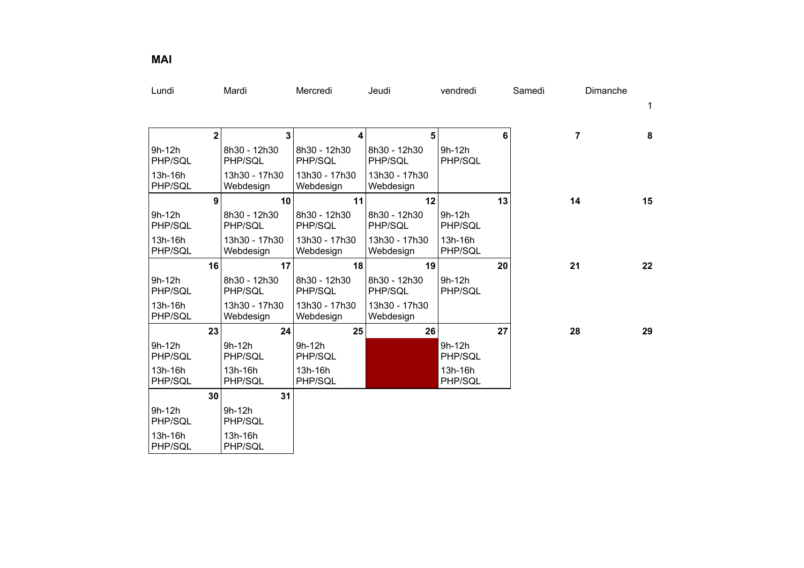| Lundi               |                         | Mardi                      | Mercredi                   | Jeudi                      | vendredi            | Samedi | Dimanche |    |
|---------------------|-------------------------|----------------------------|----------------------------|----------------------------|---------------------|--------|----------|----|
|                     |                         |                            |                            |                            |                     |        |          | 1  |
|                     |                         |                            |                            |                            |                     |        |          |    |
|                     | $\overline{\mathbf{2}}$ | 3                          | 4                          | 5                          |                     | 6      | 7        | 8  |
| 9h-12h<br>PHP/SQL   |                         | 8h30 - 12h30<br>PHP/SQL    | 8h30 - 12h30<br>PHP/SQL    | 8h30 - 12h30<br>PHP/SQL    | $9h-12h$<br>PHP/SQL |        |          |    |
| 13h-16h<br>PHP/SQL  |                         | 13h30 - 17h30<br>Webdesign | 13h30 - 17h30<br>Webdesign | 13h30 - 17h30<br>Webdesign |                     |        |          |    |
|                     | 9                       | 10                         | 11                         | 12                         |                     | 13     | 14       | 15 |
| 9h-12h<br>PHP/SQL   |                         | 8h30 - 12h30<br>PHP/SQL    | 8h30 - 12h30<br>PHP/SQL    | 8h30 - 12h30<br>PHP/SQL    | 9h-12h<br>PHP/SQL   |        |          |    |
| 13h-16h<br>PHP/SQL  |                         | 13h30 - 17h30<br>Webdesign | 13h30 - 17h30<br>Webdesign | 13h30 - 17h30<br>Webdesign | 13h-16h<br>PHP/SQL  |        |          |    |
|                     | 16                      | 17                         | 18                         | 19                         |                     | 20     | 21       | 22 |
| $9h-12h$<br>PHP/SQL |                         | 8h30 - 12h30<br>PHP/SQL    | 8h30 - 12h30<br>PHP/SQL    | 8h30 - 12h30<br>PHP/SQL    | $9h-12h$<br>PHP/SQL |        |          |    |
| 13h-16h<br>PHP/SQL  |                         | 13h30 - 17h30<br>Webdesign | 13h30 - 17h30<br>Webdesign | 13h30 - 17h30<br>Webdesign |                     |        |          |    |
|                     | 23                      | 24                         | 25                         | 26                         |                     | 27     | 28       | 29 |
| 9h-12h<br>PHP/SQL   |                         | 9h-12h<br>PHP/SQL          | $9h-12h$<br>PHP/SQL        |                            | 9h-12h<br>PHP/SQL   |        |          |    |
| 13h-16h<br>PHP/SQL  |                         | 13h-16h<br>PHP/SQL         | 13h-16h<br>PHP/SQL         |                            | 13h-16h<br>PHP/SQL  |        |          |    |
|                     | 30                      | 31                         |                            |                            |                     |        |          |    |
| 9h-12h<br>PHP/SQL   |                         | $9h-12h$<br>PHP/SQL        |                            |                            |                     |        |          |    |
| 13h-16h<br>PHP/SQL  |                         | 13h-16h<br>PHP/SQL         |                            |                            |                     |        |          |    |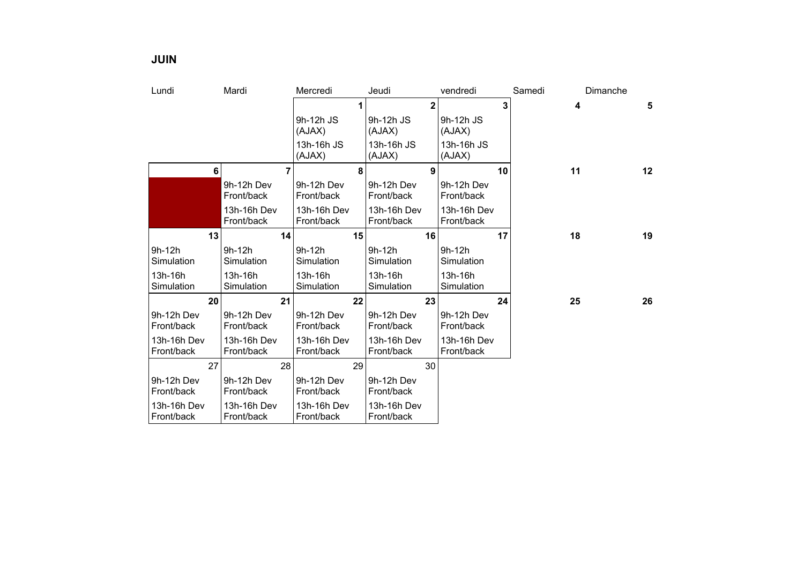| Lundi                     | Mardi                     | Mercredi                  | Jeudi                     | vendredi                  | Samedi | Dimanche |
|---------------------------|---------------------------|---------------------------|---------------------------|---------------------------|--------|----------|
|                           |                           |                           | $\overline{2}$            | 3                         | 4      | 5        |
|                           |                           | 9h-12h JS<br>(AJAX)       | 9h-12h JS<br>(AJAX)       | 9h-12h JS<br>(AJAX)       |        |          |
|                           |                           | 13h-16h JS<br>(AJAX)      | 13h-16h JS<br>(AJAX)      | 13h-16h JS<br>(AJAX)      |        |          |
| 6                         | 7                         | 8                         | 9                         | 10                        | 11     | 12       |
|                           | 9h-12h Dev<br>Front/back  | 9h-12h Dev<br>Front/back  | 9h-12h Dev<br>Front/back  | 9h-12h Dev<br>Front/back  |        |          |
|                           | 13h-16h Dev<br>Front/back | 13h-16h Dev<br>Front/back | 13h-16h Dev<br>Front/back | 13h-16h Dev<br>Front/back |        |          |
| 13                        | 14                        | 15                        | 16                        | 17                        | 18     | 19       |
| 9h-12h<br>Simulation      | 9h-12h<br>Simulation      | 9h-12h<br>Simulation      | $9h-12h$<br>Simulation    | 9h-12h<br>Simulation      |        |          |
| 13h-16h<br>Simulation     | 13h-16h<br>Simulation     | 13h-16h<br>Simulation     | 13h-16h<br>Simulation     | 13h-16h<br>Simulation     |        |          |
| 20                        | 21                        | 22                        | 23                        | 24                        | 25     | 26       |
| 9h-12h Dev<br>Front/back  | 9h-12h Dev<br>Front/back  | 9h-12h Dev<br>Front/back  | 9h-12h Dev<br>Front/back  | 9h-12h Dev<br>Front/back  |        |          |
| 13h-16h Dev<br>Front/back | 13h-16h Dev<br>Front/back | 13h-16h Dev<br>Front/back | 13h-16h Dev<br>Front/back | 13h-16h Dev<br>Front/back |        |          |
| 27                        | 28                        | 29                        | 30                        |                           |        |          |
| 9h-12h Dev<br>Front/back  | 9h-12h Dev<br>Front/back  | 9h-12h Dev<br>Front/back  | 9h-12h Dev<br>Front/back  |                           |        |          |
| 13h-16h Dev               | 13h-16h Dev               | 13h-16h Dev               | 13h-16h Dev               |                           |        |          |

Front/back

**JUIN**

Front/back

Front/back

Front/back